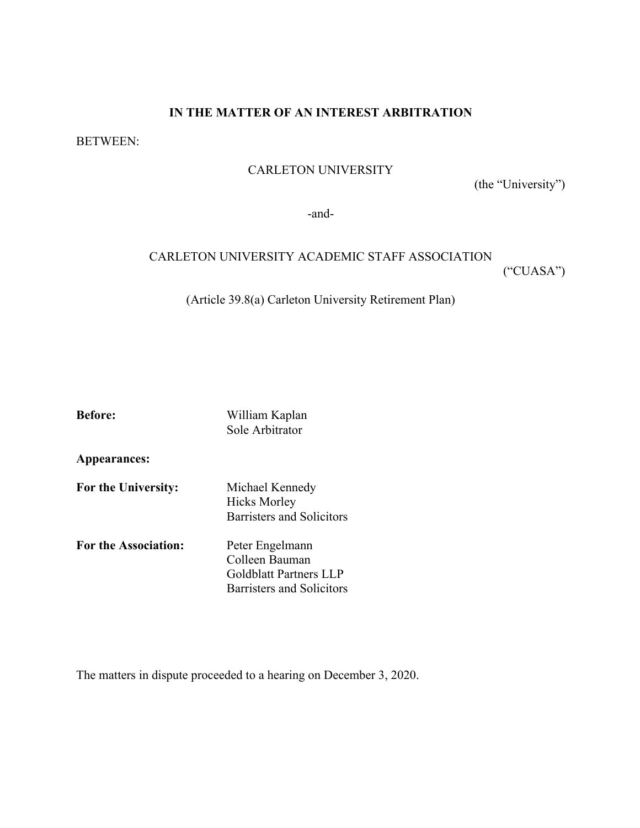### **IN THE MATTER OF AN INTEREST ARBITRATION**

BETWEEN:

#### CARLETON UNIVERSITY

(the "University")

-and-

### CARLETON UNIVERSITY ACADEMIC STAFF ASSOCIATION ("CUASA")

(Article 39.8(a) Carleton University Retirement Plan)

| <b>Before:</b>              | William Kaplan<br>Sole Arbitrator                                                               |
|-----------------------------|-------------------------------------------------------------------------------------------------|
| Appearances:                |                                                                                                 |
| For the University:         | Michael Kennedy<br><b>Hicks Morley</b><br><b>Barristers and Solicitors</b>                      |
| <b>For the Association:</b> | Peter Engelmann<br>Colleen Bauman<br><b>Goldblatt Partners LLP</b><br>Barristers and Solicitors |

The matters in dispute proceeded to a hearing on December 3, 2020.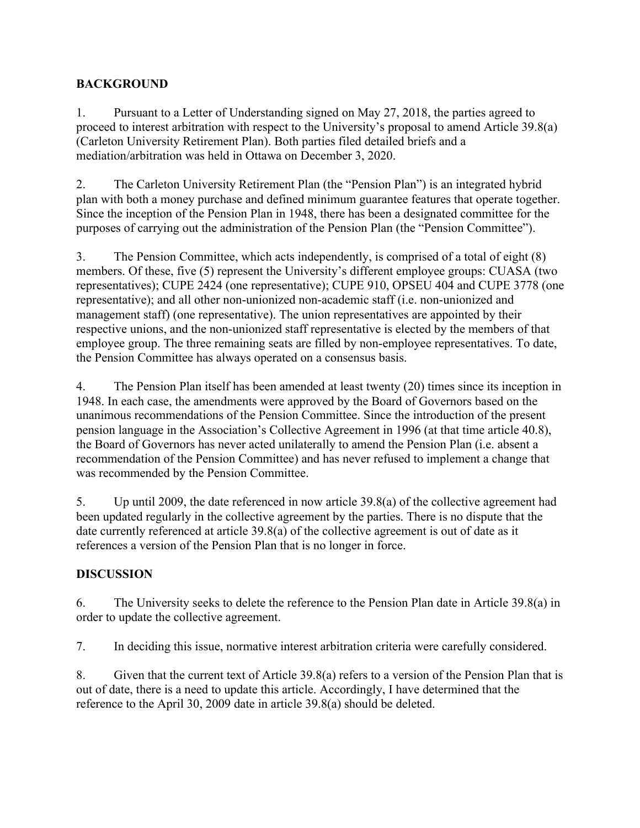## **BACKGROUND**

1. Pursuant to a Letter of Understanding signed on May 27, 2018, the parties agreed to proceed to interest arbitration with respect to the University's proposal to amend Article 39.8(a) (Carleton University Retirement Plan). Both parties filed detailed briefs and a mediation/arbitration was held in Ottawa on December 3, 2020.

2. The Carleton University Retirement Plan (the "Pension Plan") is an integrated hybrid plan with both a money purchase and defined minimum guarantee features that operate together. Since the inception of the Pension Plan in 1948, there has been a designated committee for the purposes of carrying out the administration of the Pension Plan (the "Pension Committee").

3. The Pension Committee, which acts independently, is comprised of a total of eight (8) members. Of these, five (5) represent the University's different employee groups: CUASA (two representatives); CUPE 2424 (one representative); CUPE 910, OPSEU 404 and CUPE 3778 (one representative); and all other non-unionized non-academic staff (i.e. non-unionized and management staff) (one representative). The union representatives are appointed by their respective unions, and the non-unionized staff representative is elected by the members of that employee group. The three remaining seats are filled by non-employee representatives. To date, the Pension Committee has always operated on a consensus basis.

4. The Pension Plan itself has been amended at least twenty (20) times since its inception in 1948. In each case, the amendments were approved by the Board of Governors based on the unanimous recommendations of the Pension Committee. Since the introduction of the present pension language in the Association's Collective Agreement in 1996 (at that time article 40.8), the Board of Governors has never acted unilaterally to amend the Pension Plan (i.e. absent a recommendation of the Pension Committee) and has never refused to implement a change that was recommended by the Pension Committee.

5. Up until 2009, the date referenced in now article 39.8(a) of the collective agreement had been updated regularly in the collective agreement by the parties. There is no dispute that the date currently referenced at article 39.8(a) of the collective agreement is out of date as it references a version of the Pension Plan that is no longer in force.

## **DISCUSSION**

6. The University seeks to delete the reference to the Pension Plan date in Article 39.8(a) in order to update the collective agreement.

7. In deciding this issue, normative interest arbitration criteria were carefully considered.

8. Given that the current text of Article 39.8(a) refers to a version of the Pension Plan that is out of date, there is a need to update this article. Accordingly, I have determined that the reference to the April 30, 2009 date in article 39.8(a) should be deleted.